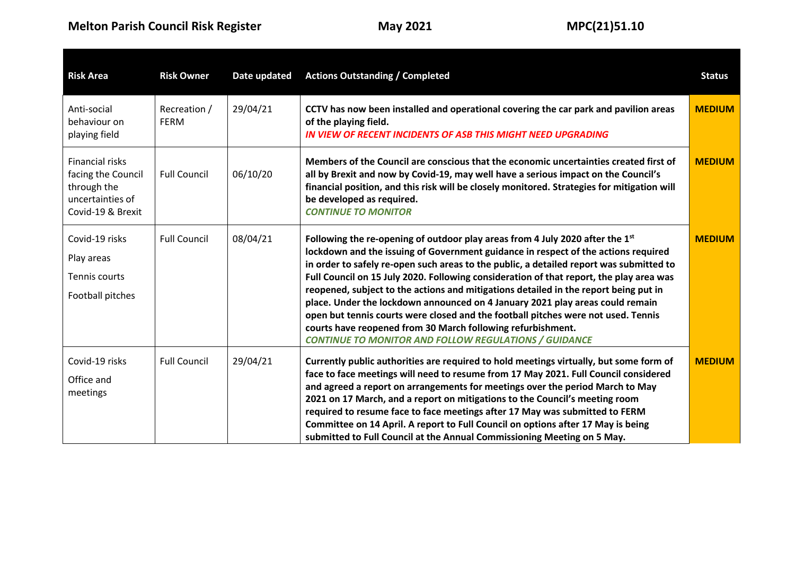| <b>Risk Area</b>                                                                              | <b>Risk Owner</b>           | Date updated | <b>Actions Outstanding / Completed</b>                                                                                                                                                                                                                                                                                                                                                                                                                                                                                                                                                                                                                                                                                                                 | <b>Status</b> |
|-----------------------------------------------------------------------------------------------|-----------------------------|--------------|--------------------------------------------------------------------------------------------------------------------------------------------------------------------------------------------------------------------------------------------------------------------------------------------------------------------------------------------------------------------------------------------------------------------------------------------------------------------------------------------------------------------------------------------------------------------------------------------------------------------------------------------------------------------------------------------------------------------------------------------------------|---------------|
| Anti-social<br>behaviour on<br>playing field                                                  | Recreation /<br><b>FERM</b> | 29/04/21     | CCTV has now been installed and operational covering the car park and pavilion areas<br>of the playing field.<br>IN VIEW OF RECENT INCIDENTS OF ASB THIS MIGHT NEED UPGRADING                                                                                                                                                                                                                                                                                                                                                                                                                                                                                                                                                                          | <b>MEDIUM</b> |
| Financial risks<br>facing the Council<br>through the<br>uncertainties of<br>Covid-19 & Brexit | <b>Full Council</b>         | 06/10/20     | Members of the Council are conscious that the economic uncertainties created first of<br>all by Brexit and now by Covid-19, may well have a serious impact on the Council's<br>financial position, and this risk will be closely monitored. Strategies for mitigation will<br>be developed as required.<br><b>CONTINUE TO MONITOR</b>                                                                                                                                                                                                                                                                                                                                                                                                                  | <b>MEDIUM</b> |
| Covid-19 risks<br>Play areas<br>Tennis courts<br>Football pitches                             | <b>Full Council</b>         | 08/04/21     | Following the re-opening of outdoor play areas from 4 July 2020 after the 1st<br>lockdown and the issuing of Government guidance in respect of the actions required<br>in order to safely re-open such areas to the public, a detailed report was submitted to<br>Full Council on 15 July 2020. Following consideration of that report, the play area was<br>reopened, subject to the actions and mitigations detailed in the report being put in<br>place. Under the lockdown announced on 4 January 2021 play areas could remain<br>open but tennis courts were closed and the football pitches were not used. Tennis<br>courts have reopened from 30 March following refurbishment.<br><b>CONTINUE TO MONITOR AND FOLLOW REGULATIONS / GUIDANCE</b> | <b>MEDIUM</b> |
| Covid-19 risks<br>Office and<br>meetings                                                      | <b>Full Council</b>         | 29/04/21     | Currently public authorities are required to hold meetings virtually, but some form of<br>face to face meetings will need to resume from 17 May 2021. Full Council considered<br>and agreed a report on arrangements for meetings over the period March to May<br>2021 on 17 March, and a report on mitigations to the Council's meeting room<br>required to resume face to face meetings after 17 May was submitted to FERM<br>Committee on 14 April. A report to Full Council on options after 17 May is being<br>submitted to Full Council at the Annual Commissioning Meeting on 5 May.                                                                                                                                                            | <b>MEDIUM</b> |